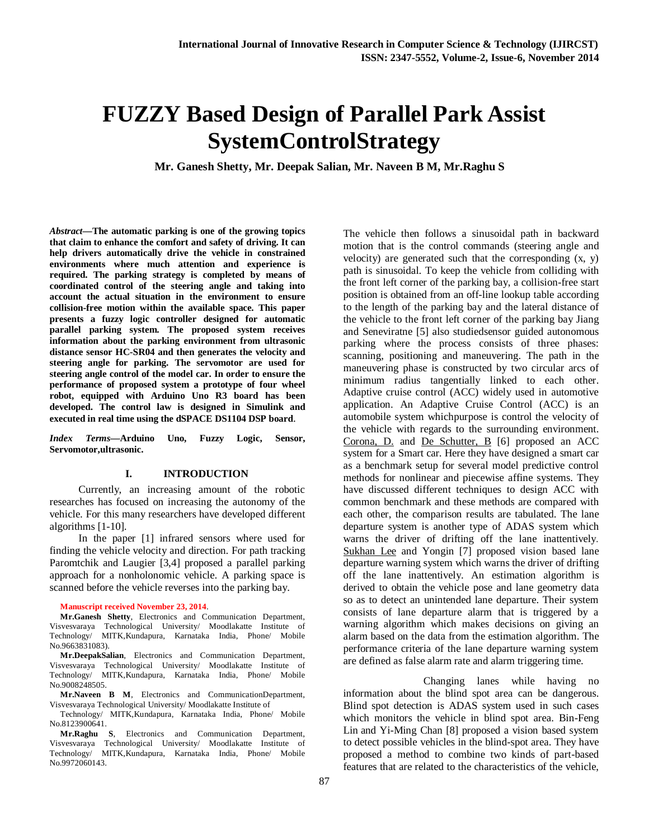# **FUZZY Based Design of Parallel Park Assist SystemControlStrategy**

**Mr. Ganesh Shetty, Mr. Deepak Salian, Mr. Naveen B M, Mr.Raghu S**

*Abstract—***The automatic parking is one of the growing topics that claim to enhance the comfort and safety of driving. It can help drivers automatically drive the vehicle in constrained environments where much attention and experience is required. The parking strategy is completed by means of coordinated control of the steering angle and taking into account the actual situation in the environment to ensure collision-free motion within the available space. This paper presents a fuzzy logic controller designed for automatic parallel parking system. The proposed system receives information about the parking environment from ultrasonic distance sensor HC-SR04 and then generates the velocity and steering angle for parking. The servomotor are used for steering angle control of the model car. In order to ensure the performance of proposed system a prototype of four wheel robot, equipped with Arduino Uno R3 board has been developed. The control law is designed in Simulink and executed in real time using the dSPACE DS1104 DSP board**.

*Index Terms***—Arduino Uno, Fuzzy Logic, Sensor, Servomotor,ultrasonic.**

#### **I. INTRODUCTION**

Currently, an increasing amount of the robotic researches has focused on increasing the autonomy of the vehicle. For this many researchers have developed different algorithms [1-10].

In the paper [1] infrared sensors where used for finding the vehicle velocity and direction. For path tracking Paromtchik and Laugier [3,4] proposed a parallel parking approach for a nonholonomic vehicle. A parking space is scanned before the vehicle reverses into the parking bay.

#### **Manuscript received November 23, 2014**.

**Mr.Ganesh Shetty**, Electronics and Communication Department, Visvesvaraya Technological University/ Moodlakatte Institute of Technology/ MITK,Kundapura, Karnataka India, Phone/ Mobile No.9663831083).

**Mr.DeepakSalian**, Electronics and Communication Department, Visvesvaraya Technological University/ Moodlakatte Institute of Technology/ MITK,Kundapura, Karnataka India, Phone/ Mobile No.9008248505.

**Mr.Naveen B M**, Electronics and CommunicationDepartment, Visvesvaraya Technological University/ Moodlakatte Institute of

Technology/ MITK,Kundapura, Karnataka India, Phone/ Mobile No.8123900641.

**Mr.Raghu S**, Electronics and Communication Department, Visvesvaraya Technological University/ Moodlakatte Institute of Technology/ MITK,Kundapura, Karnataka India, Phone/ Mobile No.9972060143.

The vehicle then follows a sinusoidal path in backward motion that is the control commands (steering angle and velocity) are generated such that the corresponding (x, y) path is sinusoidal. To keep the vehicle from colliding with the front left corner of the parking bay, a collision-free start position is obtained from an off-line lookup table according to the length of the parking bay and the lateral distance of the vehicle to the front left corner of the parking bay Jiang and Seneviratne [5] also studiedsensor guided autonomous parking where the process consists of three phases: scanning, positioning and maneuvering. The path in the maneuvering phase is constructed by two circular arcs of minimum radius tangentially linked to each other. Adaptive cruise control (ACC) widely used in automotive application. An Adaptive Cruise Control (ACC) is an automobile system whichpurpose is control the velocity of the vehicle with regards to the surrounding environment. Corona, D. and De Schutter, B [6] proposed an ACC system for a Smart car. Here they have designed a smart car as a benchmark setup for several model predictive control methods for nonlinear and piecewise affine systems. They have discussed different techniques to design ACC with common benchmark and these methods are compared with each other, the comparison results are tabulated. The lane departure system is another type of ADAS system which warns the driver of drifting off the lane inattentively. Sukhan Lee and Yongin [7] proposed vision based lane departure warning system which warns the driver of drifting off the lane inattentively. An estimation algorithm is derived to obtain the vehicle pose and lane geometry data so as to detect an unintended lane departure. Their system consists of lane departure alarm that is triggered by a warning algorithm which makes decisions on giving an alarm based on the data from the estimation algorithm. The performance criteria of the lane departure warning system are defined as false alarm rate and alarm triggering time.

Changing lanes while having no information about the blind spot area can be dangerous. Blind spot detection is ADAS system used in such cases which monitors the vehicle in blind spot area. Bin-Feng Lin and Yi-Ming Chan [8] proposed a vision based system to detect possible vehicles in the blind-spot area. They have proposed a method to combine two kinds of part-based features that are related to the characteristics of the vehicle,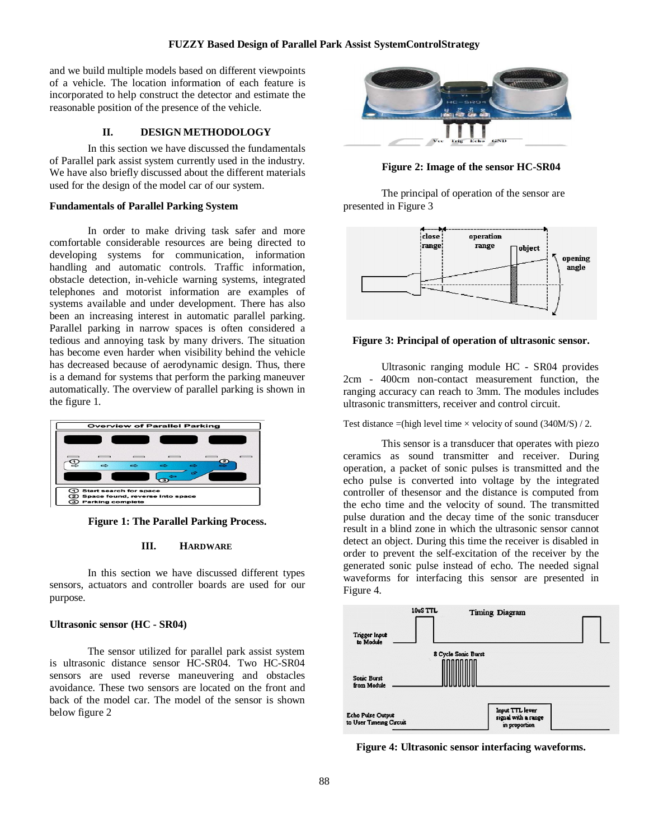and we build multiple models based on different viewpoints of a vehicle. The location information of each feature is incorporated to help construct the detector and estimate the reasonable position of the presence of the vehicle.

# **II. DESIGN METHODOLOGY**

In this section we have discussed the fundamentals of Parallel park assist system currently used in the industry. We have also briefly discussed about the different materials used for the design of the model car of our system.

#### **Fundamentals of Parallel Parking System**

In order to make driving task safer and more comfortable considerable resources are being directed to developing systems for communication, information handling and automatic controls. Traffic information, obstacle detection, in-vehicle warning systems, integrated telephones and motorist information are examples of systems available and under development. There has also been an increasing interest in automatic parallel parking. Parallel parking in narrow spaces is often considered a tedious and annoying task by many drivers. The situation has become even harder when visibility behind the vehicle has decreased because of aerodynamic design. Thus, there is a demand for systems that perform the parking maneuver automatically. The overview of parallel parking is shown in the figure 1.



**Figure 1: The Parallel Parking Process.**

#### **III. HARDWARE**

In this section we have discussed different types sensors, actuators and controller boards are used for our purpose.

# **Ultrasonic sensor (HC - SR04)**

The sensor utilized for parallel park assist system is ultrasonic distance sensor HC-SR04. Two HC-SR04 sensors are used reverse maneuvering and obstacles avoidance. These two sensors are located on the front and back of the model car. The model of the sensor is shown below figure 2



**Figure 2: Image of the sensor HC-SR04**

The principal of operation of the sensor are presented in Figure 3



# **Figure 3: Principal of operation of ultrasonic sensor.**

Ultrasonic ranging module HC - SR04 provides 2cm - 400cm non-contact measurement function, the ranging accuracy can reach to 3mm. The modules includes ultrasonic transmitters, receiver and control circuit.

Test distance  $=$ (high level time  $\times$  velocity of sound (340M/S) / 2.

This sensor is a transducer that operates with piezo ceramics as sound transmitter and receiver. During operation, a packet of sonic pulses is transmitted and the echo pulse is converted into voltage by the integrated controller of thesensor and the distance is computed from the echo time and the velocity of sound. The transmitted pulse duration and the decay time of the sonic transducer result in a blind zone in which the ultrasonic sensor cannot detect an object. During this time the receiver is disabled in order to prevent the self-excitation of the receiver by the generated sonic pulse instead of echo. The needed signal waveforms for interfacing this sensor are presented in Figure 4.



**Figure 4: Ultrasonic sensor interfacing waveforms.**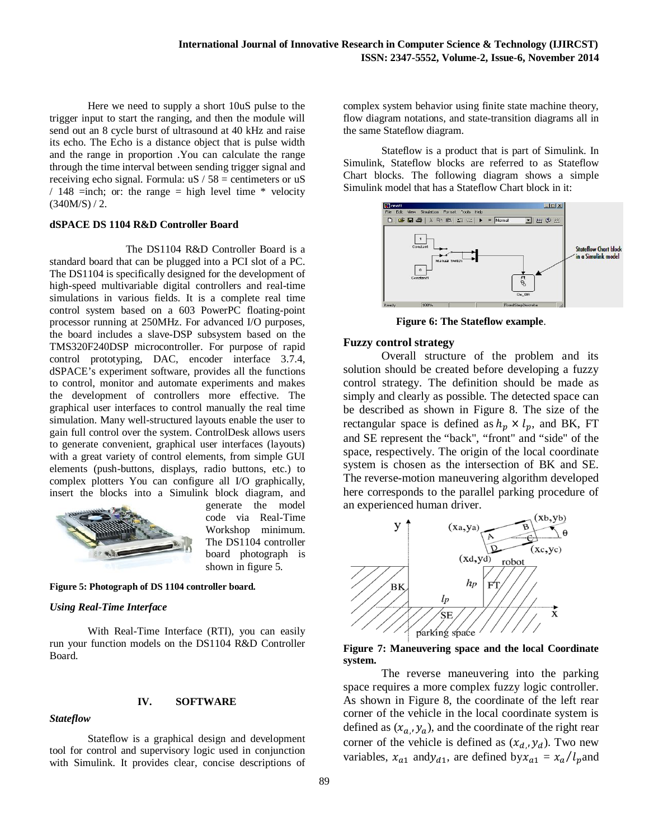Here we need to supply a short 10uS pulse to the trigger input to start the ranging, and then the module will send out an 8 cycle burst of ultrasound at 40 kHz and raise its echo. The Echo is a distance object that is pulse width and the range in proportion .You can calculate the range through the time interval between sending trigger signal and receiving echo signal. Formula:  $uS / 58$  = centimeters or  $uS$ / 148 =inch; or: the range = high level time  $*$  velocity  $(340M/S) / 2.$ 

# **dSPACE DS 1104 R&D Controller Board**

The DS1104 R&D Controller Board is a standard board that can be plugged into a PCI slot of a PC. The DS1104 is specifically designed for the development of high-speed multivariable digital controllers and real-time simulations in various fields. It is a complete real time control system based on a 603 PowerPC floating-point processor running at 250MHz. For advanced I/O purposes, the board includes a slave-DSP subsystem based on the TMS320F240DSP microcontroller. For purpose of rapid control prototyping, DAC, encoder interface 3.7.4, dSPACE's experiment software, provides all the functions to control, monitor and automate experiments and makes the development of controllers more effective. The graphical user interfaces to control manually the real time simulation. Many well-structured layouts enable the user to gain full control over the system. ControlDesk allows users to generate convenient, graphical user interfaces (layouts) with a great variety of control elements, from simple GUI elements (push-buttons, displays, radio buttons, etc.) to complex plotters You can configure all I/O graphically, insert the blocks into a Simulink block diagram, and



generate the model code via Real-Time Workshop minimum. The DS1104 controller board photograph is shown in figure 5.

**Figure 5: Photograph of DS 1104 controller board.**

# *Using Real-Time Interface*

With Real-Time Interface (RTI), you can easily run your function models on the DS1104 R&D Controller Board.

# *Stateflow*

**IV. SOFTWARE**

Stateflow is a graphical design and development tool for control and supervisory logic used in conjunction with Simulink. It provides clear, concise descriptions of complex system behavior using finite state machine theory, flow diagram notations, and state-transition diagrams all in the same Stateflow diagram.

Stateflow is a product that is part of Simulink. In Simulink, Stateflow blocks are referred to as Stateflow Chart blocks. The following diagram shows a simple Simulink model that has a Stateflow Chart block in it:



**Figure 6: The Stateflow example**.

# **Fuzzy control strategy**

Overall structure of the problem and its solution should be created before developing a fuzzy control strategy. The definition should be made as simply and clearly as possible. The detected space can be described as shown in Figure 8. The size of the rectangular space is defined as  $h_p \times l_p$ , and BK, FT and SE represent the "back", "front" and "side" of the space, respectively. The origin of the local coordinate system is chosen as the intersection of BK and SE. The reverse-motion maneuvering algorithm developed here corresponds to the parallel parking procedure of an experienced human driver.



**Figure 7: Maneuvering space and the local Coordinate system.**

The reverse maneuvering into the parking space requires a more complex fuzzy logic controller. As shown in Figure 8, the coordinate of the left rear corner of the vehicle in the local coordinate system is defined as  $(x_{a_i}, y_a)$ , and the coordinate of the right rear corner of the vehicle is defined as  $(x_{d_i}, y_d)$ . Two new variables,  $x_{a1}$  and $y_{d1}$ , are defined by  $x_{a1} = x_a/l_p$  and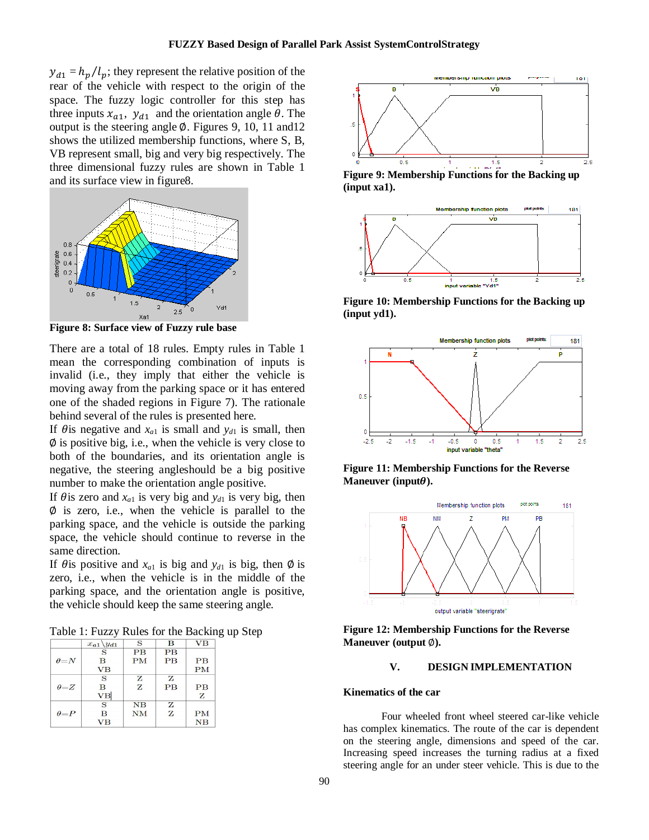$y_{d1} = h_p / l_p$ ; they represent the relative position of the rear of the vehicle with respect to the origin of the space. The fuzzy logic controller for this step has three inputs  $x_{a1}$ ,  $y_{d1}$  and the orientation angle  $\theta$ . The output is the steering angle ∅. Figures 9, 10, 11 and12 shows the utilized membership functions, where S, B, VB represent small, big and very big respectively. The three dimensional fuzzy rules are shown in Table 1 and its surface view in figure8.



**Figure 8: Surface view of Fuzzy rule base**

There are a total of 18 rules. Empty rules in Table 1 mean the corresponding combination of inputs is invalid (i.e., they imply that either the vehicle is moving away from the parking space or it has entered one of the shaded regions in Figure 7). The rationale behind several of the rules is presented here.

If  $\theta$  is negative and  $x_{a1}$  is small and  $y_{d1}$  is small, then ∅ is positive big, i.e., when the vehicle is very close to both of the boundaries, and its orientation angle is negative, the steering angleshould be a big positive number to make the orientation angle positive.

If  $\theta$  is zero and  $x_{a1}$  is very big and  $y_{d1}$  is very big, then  $\emptyset$  is zero, i.e., when the vehicle is parallel to the parking space, and the vehicle is outside the parking space, the vehicle should continue to reverse in the same direction.

If  $\theta$  is positive and  $x_{a1}$  is big and  $y_{d1}$  is big, then  $\phi$  is zero, i.e., when the vehicle is in the middle of the parking space, and the orientation angle is positive, the vehicle should keep the same steering angle.

Table 1: Fuzzy Rules for the Backing up Step

|              | $x_{a1} \backslash y_{d1}$ | S           | B  | <b>VB</b>       |
|--------------|----------------------------|-------------|----|-----------------|
|              | S                          | <b>PB</b>   | PB |                 |
| $\theta = N$ | B                          | PM          | PB | $\overline{PB}$ |
|              | <b>VB</b>                  |             |    | PM              |
|              | S                          | z           | z  |                 |
| $\theta = Z$ | в                          | Z           | PB | PB              |
|              | VB                         |             |    | z               |
|              | S                          | $_{\rm NB}$ | z  |                 |
| $\theta = P$ | B                          | <b>NM</b>   | Z  | <b>PM</b>       |
|              | VВ                         |             |    | NB              |



**Figure 9: Membership Functions for the Backing up (input xa1).**



**Figure 10: Membership Functions for the Backing up (input yd1).**



**Figure 11: Membership Functions for the Reverse Maneuver** (input $\theta$ ).



**Figure 12: Membership Functions for the Reverse Maneuver (output** ∅**).**

#### **V. DESIGN IMPLEMENTATION**

#### **Kinematics of the car**

Four wheeled front wheel steered car-like vehicle has complex kinematics. The route of the car is dependent on the steering angle, dimensions and speed of the car. Increasing speed increases the turning radius at a fixed steering angle for an under steer vehicle. This is due to the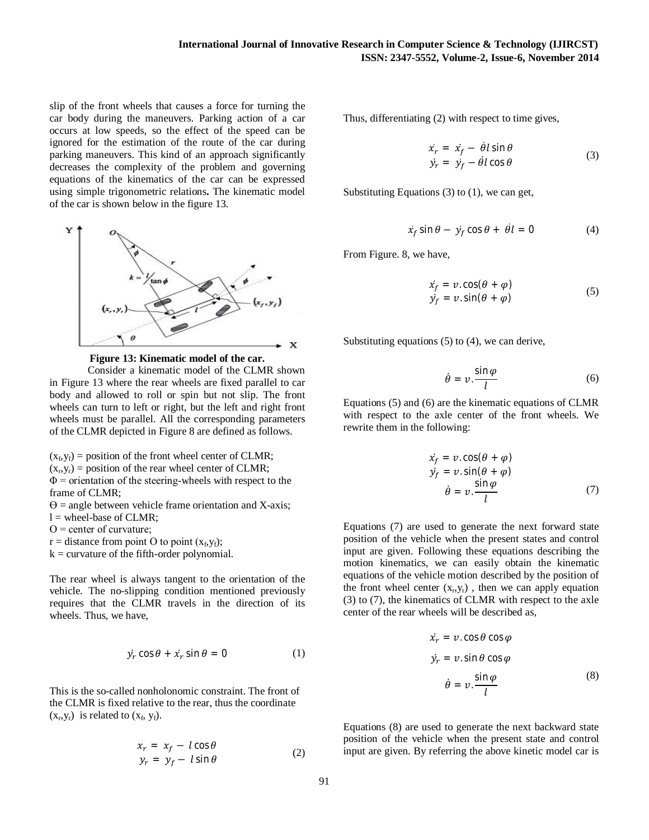slip of the front wheels that causes a force for turning the car body during the maneuvers. Parking action of a car occurs at low speeds, so the effect of the speed can be ignored for the estimation of the route of the car during parking maneuvers. This kind of an approach significantly decreases the complexity of the problem and governing equations of the kinematics of the car can be expressed using simple trigonometric relations**.** The kinematic model of the car is shown below in the figure 13.



**Figure 13: Kinematic model of the car.**

Consider a kinematic model of the CLMR shown in Figure 13 where the rear wheels are fixed parallel to car body and allowed to roll or spin but not slip. The front wheels can turn to left or right, but the left and right front wheels must be parallel. All the corresponding parameters of the CLMR depicted in Figure 8 are defined as follows.

 $(x_f, y_f)$  = position of the front wheel center of CLMR;  $(x_r, y_r)$  = position of the rear wheel center of CLMR;  $\Phi$  = orientation of the steering-wheels with respect to the frame of CLMR;

 $\Theta$  = angle between vehicle frame orientation and X-axis;

l = wheel-base of CLMR;

Ο = center of curvature;

 $r =$  distance from point O to point  $(x_f, y_f)$ ;

 $k =$  curvature of the fifth-order polynomial.

The rear wheel is always tangent to the orientation of the vehicle. The no-slipping condition mentioned previously requires that the CLMR travels in the direction of its wheels. Thus, we have,

$$
\dot{y}_r \cos \theta + \dot{x}_r \sin \theta = 0 \tag{1}
$$

This is the so-called nonholonomic constraint. The front of the CLMR is fixed relative to the rear, thus the coordinate  $(x_r, y_r)$  is related to  $(x_f, y_f)$ .

$$
x_r = x_f - l\cos\theta
$$
  
\n
$$
y_r = y_f - l\sin\theta
$$
 (2)

Thus, differentiating (2) with respect to time gives,

$$
\begin{aligned}\n\dot{x}_r &= \dot{x}_f - \dot{\theta} l \sin \theta \\
\dot{y}_r &= \dot{y}_f - \dot{\theta} l \cos \theta\n\end{aligned} \tag{3}
$$

Substituting Equations (3) to (1), we can get,

$$
\dot{x}_f \sin \theta - \dot{y}_f \cos \theta + \dot{\theta}l = 0 \tag{4}
$$

From Figure. 8, we have,

$$
\dot{x}_f = v \cdot \cos(\theta + \varphi) \n\dot{y}_f = v \cdot \sin(\theta + \varphi)
$$
\n(5)

Substituting equations (5) to (4), we can derive,

$$
\dot{\theta} = v \cdot \frac{\sin \varphi}{l} \tag{6}
$$

Equations (5) and (6) are the kinematic equations of CLMR with respect to the axle center of the front wheels. We rewrite them in the following:

$$
\dot{x}_f = v \cos(\theta + \varphi) \n\dot{y}_f = v \sin(\theta + \varphi) \n\dot{\theta} = v \cdot \frac{\sin \varphi}{l}
$$
\n(7)

Equations (7) are used to generate the next forward state position of the vehicle when the present states and control input are given. Following these equations describing the motion kinematics, we can easily obtain the kinematic equations of the vehicle motion described by the position of the front wheel center  $(x_r, y_r)$ , then we can apply equation (3) to (7), the kinematics of CLMR with respect to the axle center of the rear wheels will be described as,

$$
\dot{x}_r = v \cdot \cos \theta \cos \varphi
$$
  
\n
$$
\dot{y}_r = v \cdot \sin \theta \cos \varphi
$$
  
\n
$$
\dot{\theta} = v \cdot \frac{\sin \varphi}{l}
$$
 (8)

Equations (8) are used to generate the next backward state position of the vehicle when the present state and control input are given. By referring the above kinetic model car is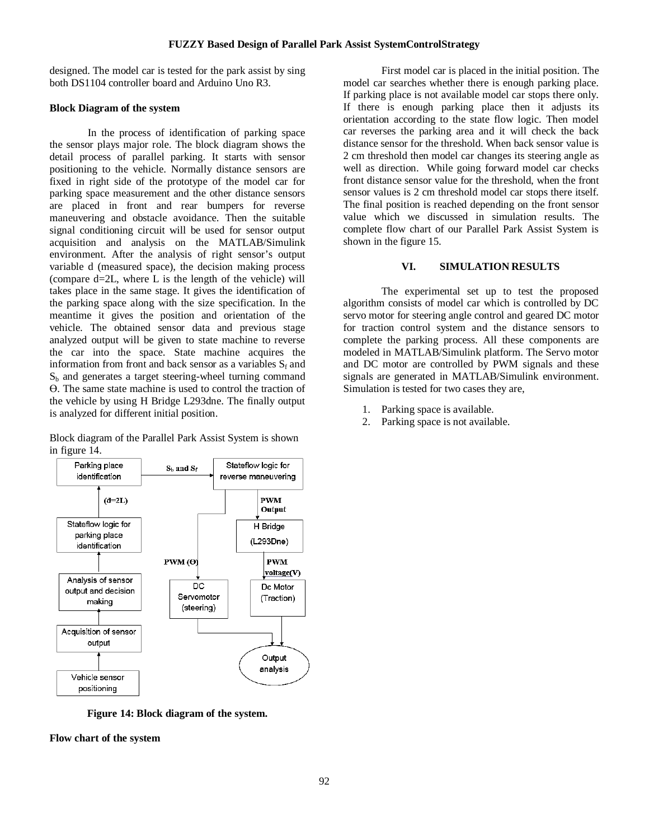designed. The model car is tested for the park assist by sing both DS1104 controller board and Arduino Uno R3.

# **Block Diagram of the system**

In the process of identification of parking space the sensor plays major role. The block diagram shows the detail process of parallel parking. It starts with sensor positioning to the vehicle. Normally distance sensors are fixed in right side of the prototype of the model car for parking space measurement and the other distance sensors are placed in front and rear bumpers for reverse maneuvering and obstacle avoidance. Then the suitable signal conditioning circuit will be used for sensor output acquisition and analysis on the MATLAB/Simulink environment. After the analysis of right sensor's output variable d (measured space), the decision making process (compare d=2L, where L is the length of the vehicle) will takes place in the same stage. It gives the identification of the parking space along with the size specification. In the meantime it gives the position and orientation of the vehicle. The obtained sensor data and previous stage analyzed output will be given to state machine to reverse the car into the space. State machine acquires the information from front and back sensor as a variables  $S_f$  and  $S_b$  and generates a target steering-wheel turning command ϴ. The same state machine is used to control the traction of the vehicle by using H Bridge L293dne. The finally output is analyzed for different initial position.

Block diagram of the Parallel Park Assist System is shown in figure 14.



**Figure 14: Block diagram of the system.**

**Flow chart of the system**

First model car is placed in the initial position. The model car searches whether there is enough parking place. If parking place is not available model car stops there only. If there is enough parking place then it adjusts its orientation according to the state flow logic. Then model car reverses the parking area and it will check the back distance sensor for the threshold. When back sensor value is 2 cm threshold then model car changes its steering angle as well as direction. While going forward model car checks front distance sensor value for the threshold, when the front sensor values is 2 cm threshold model car stops there itself. The final position is reached depending on the front sensor value which we discussed in simulation results. The complete flow chart of our Parallel Park Assist System is shown in the figure 15.

# **VI. SIMULATION RESULTS**

The experimental set up to test the proposed algorithm consists of model car which is controlled by DC servo motor for steering angle control and geared DC motor for traction control system and the distance sensors to complete the parking process. All these components are modeled in MATLAB/Simulink platform. The Servo motor and DC motor are controlled by PWM signals and these signals are generated in MATLAB/Simulink environment. Simulation is tested for two cases they are,

- 1. Parking space is available.
- 2. Parking space is not available.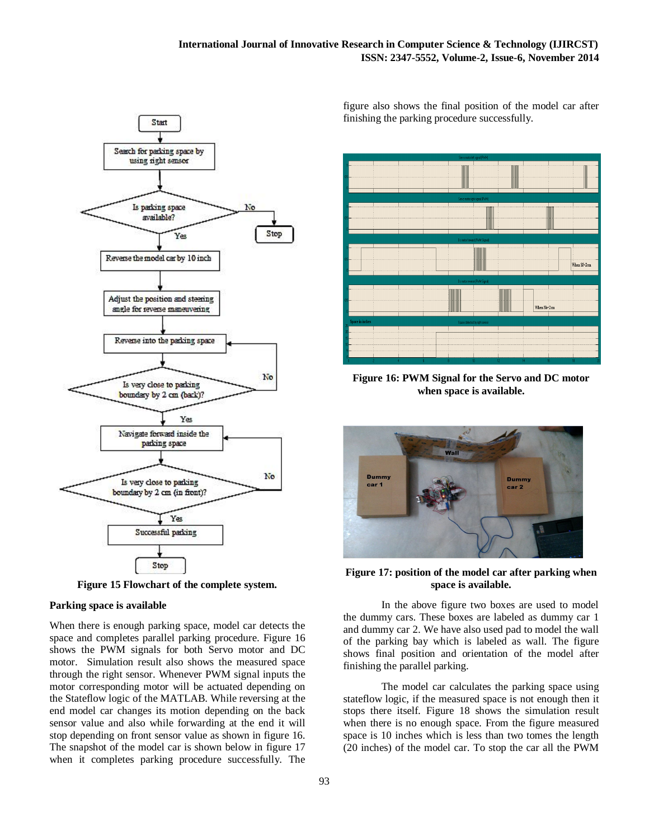

**Figure 15 Flowchart of the complete system.**

#### **Parking space is available**

When there is enough parking space, model car detects the space and completes parallel parking procedure. Figure 16 shows the PWM signals for both Servo motor and DC motor. Simulation result also shows the measured space through the right sensor. Whenever PWM signal inputs the motor corresponding motor will be actuated depending on the Stateflow logic of the MATLAB. While reversing at the end model car changes its motion depending on the back sensor value and also while forwarding at the end it will stop depending on front sensor value as shown in figure 16. The snapshot of the model car is shown below in figure 17 when it completes parking procedure successfully. The figure also shows the final position of the model car after finishing the parking procedure successfully.



**Figure 16: PWM Signal for the Servo and DC motor when space is available.**



**Figure 17: position of the model car after parking when space is available.**

In the above figure two boxes are used to model the dummy cars. These boxes are labeled as dummy car 1 and dummy car 2. We have also used pad to model the wall of the parking bay which is labeled as wall. The figure shows final position and orientation of the model after finishing the parallel parking.

The model car calculates the parking space using stateflow logic, if the measured space is not enough then it stops there itself. Figure 18 shows the simulation result when there is no enough space. From the figure measured space is 10 inches which is less than two tomes the length (20 inches) of the model car. To stop the car all the PWM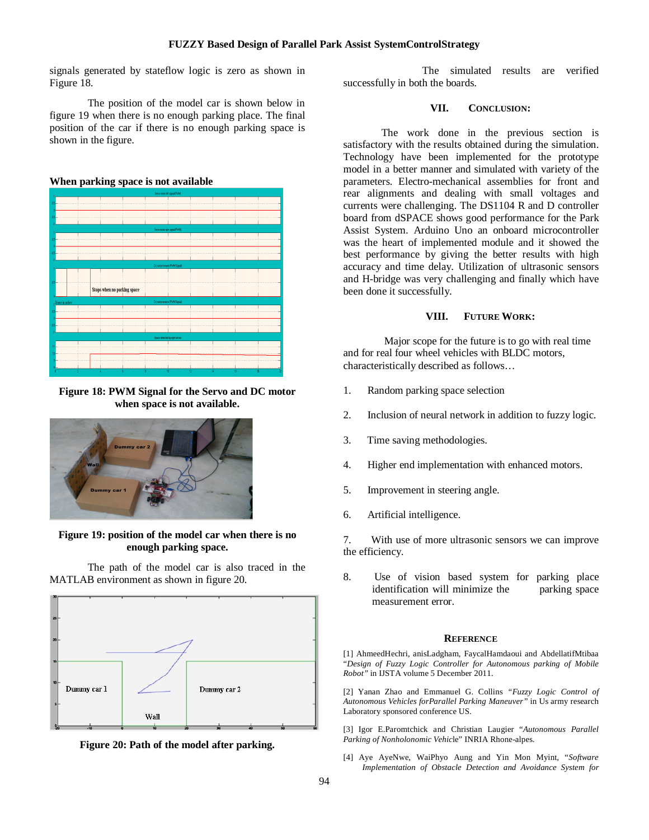signals generated by stateflow logic is zero as shown in Figure 18.

The position of the model car is shown below in figure 19 when there is no enough parking place. The final position of the car if there is no enough parking space is shown in the figure.





**Figure 18: PWM Signal for the Servo and DC motor when space is not available.**



**Figure 19: position of the model car when there is no enough parking space.**

The path of the model car is also traced in the MATLAB environment as shown in figure 20.





The simulated results are verified successfully in both the boards.

# **VII. CONCLUSION:**

The work done in the previous section is satisfactory with the results obtained during the simulation. Technology have been implemented for the prototype model in a better manner and simulated with variety of the parameters. Electro-mechanical assemblies for front and rear alignments and dealing with small voltages and currents were challenging. The DS1104 R and D controller board from dSPACE shows good performance for the Park Assist System. Arduino Uno an onboard microcontroller was the heart of implemented module and it showed the best performance by giving the better results with high accuracy and time delay. Utilization of ultrasonic sensors and H-bridge was very challenging and finally which have been done it successfully.

#### **VIII. FUTURE WORK:**

Major scope for the future is to go with real time and for real four wheel vehicles with BLDC motors, characteristically described as follows…

- 1. Random parking space selection
- 2. Inclusion of neural network in addition to fuzzy logic.
- 3. Time saving methodologies.
- 4. Higher end implementation with enhanced motors.
- 5. Improvement in steering angle.
- 6. Artificial intelligence.

7. With use of more ultrasonic sensors we can improve the efficiency.

8. Use of vision based system for parking place identification will minimize the parking space measurement error.

#### **REFERENCE**

[1] AhmeedHechri, anisLadgham, FaycalHamdaoui and AbdellatifMtibaa "*Design of Fuzzy Logic Controller for Autonomous parking of Mobile Robot"* in IJSTA volume 5 December 2011.

[2] Yanan Zhao and Emmanuel G. Collins *"Fuzzy Logic Control of Autonomous Vehicles forParallel Parking Maneuver"* in Us army research Laboratory sponsored conference US.

[3] Igor E.Paromtchick and Christian Laugier "*Autonomous Parallel Parking of Nonholonomic Vehic*le" INRIA Rhone-alpes.

[4] Aye AyeNwe, WaiPhyo Aung and Yin Mon Myint, "*Software Implementation of Obstacle Detection and Avoidance System for*